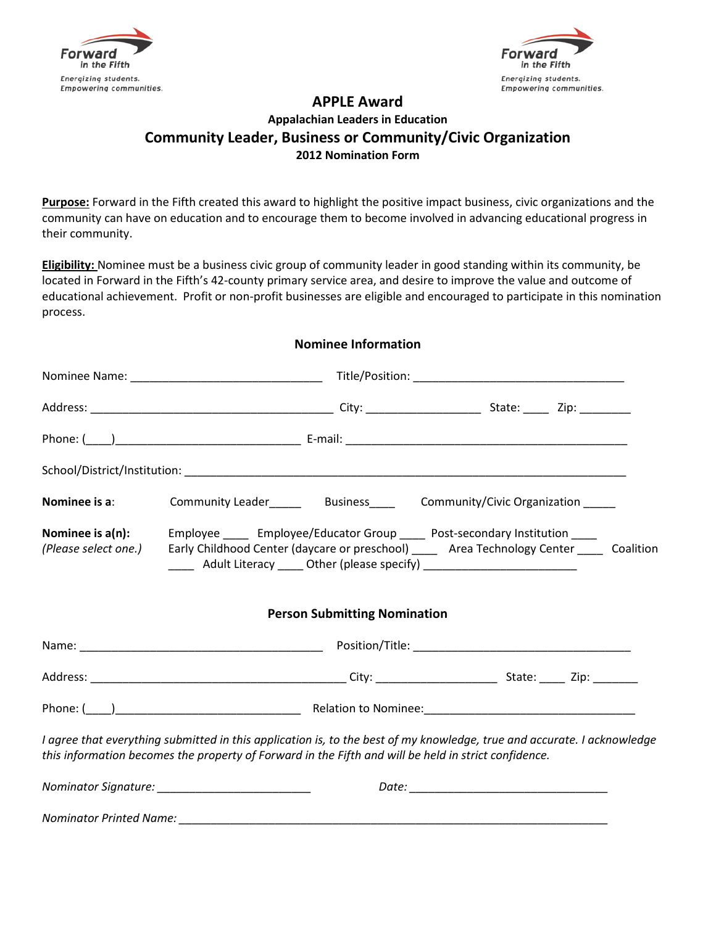



## **APPLE Award Appalachian Leaders in Education Community Leader, Business or Community/Civic Organization 2012 Nomination Form**

**Purpose:** Forward in the Fifth created this award to highlight the positive impact business, civic organizations and the community can have on education and to encourage them to become involved in advancing educational progress in their community.

**Eligibility:** Nominee must be a business civic group of community leader in good standing within its community, be located in Forward in the Fifth's 42-county primary service area, and desire to improve the value and outcome of educational achievement. Profit or non-profit businesses are eligible and encouraged to participate in this nomination process.

|                                             | <b>Nominee Information</b>                                                                                                                                                                                                                                       |
|---------------------------------------------|------------------------------------------------------------------------------------------------------------------------------------------------------------------------------------------------------------------------------------------------------------------|
|                                             |                                                                                                                                                                                                                                                                  |
|                                             |                                                                                                                                                                                                                                                                  |
|                                             |                                                                                                                                                                                                                                                                  |
|                                             |                                                                                                                                                                                                                                                                  |
| Nominee is a:                               |                                                                                                                                                                                                                                                                  |
| Nominee is $a(n)$ :<br>(Please select one.) | Employee ______ Employee/Educator Group _____ Post-secondary Institution _____<br>Early Childhood Center (daycare or preschool) _____ Area Technology Center _____ Coalition<br>______ Adult Literacy ______ Other (please specify) ____________________________ |
|                                             | <b>Person Submitting Nomination</b>                                                                                                                                                                                                                              |
|                                             |                                                                                                                                                                                                                                                                  |
|                                             |                                                                                                                                                                                                                                                                  |
|                                             |                                                                                                                                                                                                                                                                  |
|                                             | I agree that everything submitted in this application is, to the best of my knowledge, true and accurate. I acknowledge<br>this information becomes the property of Forward in the Fifth and will be held in strict confidence.                                  |
|                                             | Nominator Signature: Nominator Signature:                                                                                                                                                                                                                        |
| <b>Nominator Printed Name:</b>              |                                                                                                                                                                                                                                                                  |